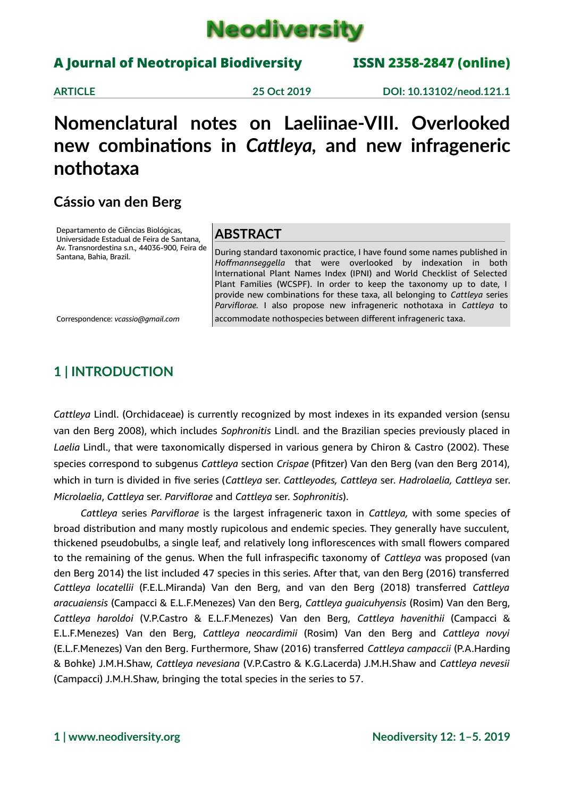

## A Journal of Neotropical Biodiversity ISSN 2358-2847 (online)

**ARTICLE 25 Oct 2019 DOI: 10.13102/neod.121.1**

# **Nomenclatural notes on Laeliinae-VIII. Overlooked new combinations in** *Cattleya,* **and new infrageneric nothotaxa**

## **Cássio van den Berg**

Departamento de Ciências Biológicas, Universidade Estadual de Feira de Santana, Av. Transnordestina s.n., 44036-900, Feira de Santana, Bahia, Brazil.

## **ABSTRACT**

During standard taxonomic practice, I have found some names published in *Hoffmannseggella* that were overlooked by indexation in both International Plant Names Index (IPNI) and World Checklist of Selected Plant Families (WCSPF). In order to keep the taxonomy up to date, I provide new combinations for these taxa, all belonging to *Cattleya* series *Parviflorae.* I also propose new infrageneric nothotaxa in *Cattleya* to accommodate nothospecies between different infrageneric taxa.

Correspondence: *vcassio@gmail.com*

## **1 | INTRODUCTION**

*Cattleya* Lindl. (Orchidaceae) is currently recognized by most indexes in its expanded version (sensu van den Berg 2008), which includes *Sophronitis* Lindl. and the Brazilian species previously placed in *Laelia* Lindl., that were taxonomically dispersed in various genera by Chiron & Castro (2002). These species correspond to subgenus *Cattleya* section *Crispae* (Pfitzer) Van den Berg (van den Berg 2014), which in turn is divided in five series (*Cattleya* ser. *Cattleyodes, Cattleya* ser. *Hadrolaelia, Cattleya* ser. *Microlaelia*, *Cattleya* ser. *Parviflorae* and *Cattleya* ser. *Sophronitis*).

*Cattleya* series *Parviflorae* is the largest infrageneric taxon in *Cattleya,* with some species of broad distribution and many mostly rupicolous and endemic species. They generally have succulent, thickened pseudobulbs, a single leaf, and relatively long inflorescences with small flowers compared to the remaining of the genus. When the full infraspecific taxonomy of *Cattleya* was proposed (van den Berg 2014) the list included 47 species in this series. After that, van den Berg (2016) transferred *Cattleya locatellii* (F.E.L.Miranda) Van den Berg, and van den Berg (2018) transferred *Cattleya aracuaiensis* (Campacci & E.L.F.Menezes) Van den Berg, *Cattleya guaicuhyensis* (Rosim) Van den Berg, *Cattleya haroldoi* (V.P.Castro & E.L.F.Menezes) Van den Berg, *Cattleya havenithii* (Campacci & E.L.F.Menezes) Van den Berg, *Cattleya neocardimii* (Rosim) Van den Berg and *Cattleya novyi* (E.L.F.Menezes) Van den Berg. Furthermore, Shaw (2016) transferred *Cattleya campaccii* (P.A.Harding & Bohke) J.M.H.Shaw, *Cattleya nevesiana* (V.P.Castro & K.G.Lacerda) J.M.H.Shaw and *Cattleya nevesii* (Campacci) J.M.H.Shaw, bringing the total species in the series to 57.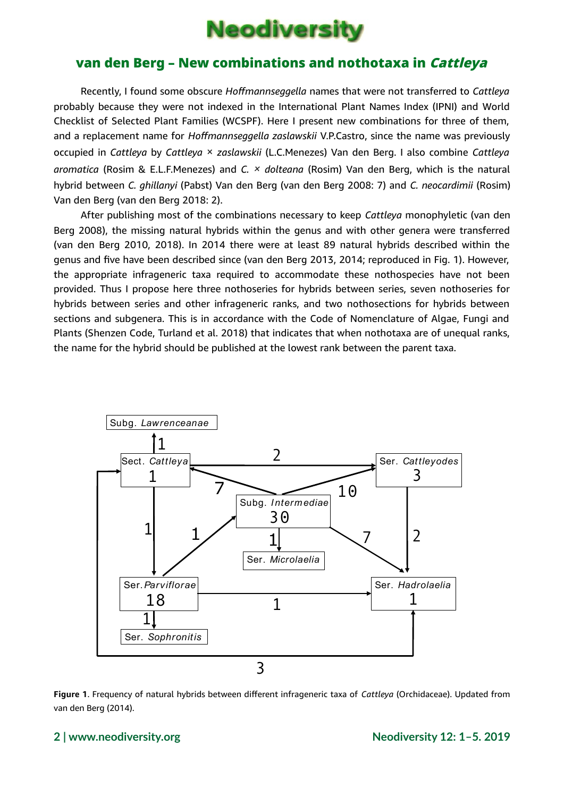

Recently, I found some obscure *Hoffmannseggella* names that were not transferred to *Cattleya* probably because they were not indexed in the International Plant Names Index (IPNI) and World Checklist of Selected Plant Families (WCSPF). Here I present new combinations for three of them, and a replacement name for *Hoffmannseggella zaslawskii* V.P.Castro, since the name was previously occupied in *Cattleya* by *Cattleya* × *zaslawskii* (L.C.Menezes) Van den Berg. I also combine *Cattleya aromatica* (Rosim & E.L.F.Menezes) and *C. × dolteana* (Rosim) Van den Berg, which is the natural hybrid between *C. ghillanyi* (Pabst) Van den Berg (van den Berg 2008: 7) and *C. neocardimii* (Rosim) Van den Berg (van den Berg 2018: 2).

After publishing most of the combinations necessary to keep *Cattleya* monophyletic (van den Berg 2008), the missing natural hybrids within the genus and with other genera were transferred (van den Berg 2010, 2018). In 2014 there were at least 89 natural hybrids described within the genus and five have been described since (van den Berg 2013, 2014; reproduced in Fig. 1). However, the appropriate infrageneric taxa required to accommodate these nothospecies have not been provided. Thus I propose here three nothoseries for hybrids between series, seven nothoseries for hybrids between series and other infrageneric ranks, and two nothosections for hybrids between sections and subgenera. This is in accordance with the Code of Nomenclature of Algae, Fungi and Plants (Shenzen Code, Turland et al. 2018) that indicates that when nothotaxa are of unequal ranks, the name for the hybrid should be published at the lowest rank between the parent taxa.



**Figure 1**. Frequency of natural hybrids between different infrageneric taxa of *Cattleya* (Orchidaceae). Updated from van den Berg (2014).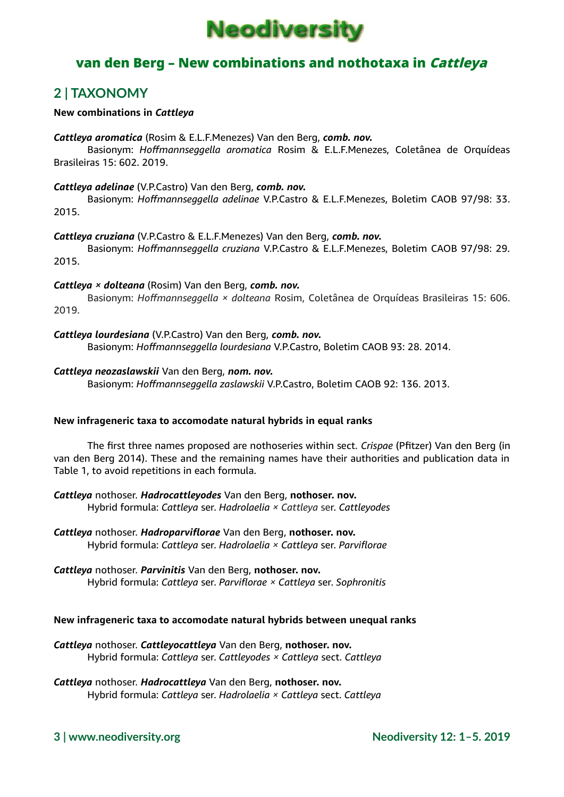

## **2 | TAXONOMY**

#### **New combinations in** *Cattleya*

#### *Cattleya aromatica* (Rosim & E.L.F.Menezes) Van den Berg, *comb. nov.*

Basionym: *Hoffmannseggella aromatica* Rosim & E.L.F.Menezes, Coletânea de Orquídeas Brasileiras 15: 602. 2019.

#### *Cattleya adelinae* (V.P.Castro) Van den Berg, *comb. nov.*

Basionym: *Hoffmannseggella adelinae* V.P.Castro & E.L.F.Menezes, Boletim CAOB 97/98: 33. 2015.

#### *Cattleya cruziana* (V.P.Castro & E.L.F.Menezes) Van den Berg, *comb. nov.*

Basionym: *Hoffmannseggella cruziana* V.P.Castro & E.L.F.Menezes, Boletim CAOB 97/98: 29. 2015.

#### *Cattleya × dolteana* (Rosim) Van den Berg, *comb. nov.*

Basionym: *Hoffmannseggella × dolteana* Rosim, Coletânea de Orquídeas Brasileiras 15: 606. 2019.

*Cattleya lourdesiana* (V.P.Castro) Van den Berg, *comb. nov.*

Basionym: *Hoffmannseggella lourdesiana* V.P.Castro, Boletim CAOB 93: 28. 2014.

#### *Cattleya neozaslawskii* Van den Berg, *nom. nov.*

Basionym: *Hoffmannseggella zaslawskii* V.P.Castro, Boletim CAOB 92: 136. 2013.

### **New infrageneric taxa to accomodate natural hybrids in equal ranks**

The first three names proposed are nothoseries within sect. *Crispae* (Pfitzer) Van den Berg (in van den Berg 2014). These and the remaining names have their authorities and publication data in Table 1, to avoid repetitions in each formula.

*Cattleya* nothoser. *Hadrocattleyodes* Van den Berg, **nothoser. nov.** Hybrid formula: *Cattleya* ser. *Hadrolaelia × Cattleya* ser. *Cattleyodes*

*Cattleya* nothoser. *Hadroparviflorae* Van den Berg, **nothoser. nov.** Hybrid formula: *Cattleya* ser. *Hadrolaelia × Cattleya* ser. *Parviflorae*

### *Cattleya* nothoser. *Parvinitis* Van den Berg, **nothoser. nov.** Hybrid formula: *Cattleya* ser. *Parviflorae × Cattleya* ser. *Sophronitis*

### **New infrageneric taxa to accomodate natural hybrids between unequal ranks**

*Cattleya* nothoser. *Cattleyocattleya* Van den Berg, **nothoser. nov.** Hybrid formula: *Cattleya* ser. *Cattleyodes × Cattleya* sect. *Cattleya*

*Cattleya* nothoser. *Hadrocattleya* Van den Berg, **nothoser. nov.** Hybrid formula: *Cattleya* ser. *Hadrolaelia × Cattleya* sect. *Cattleya*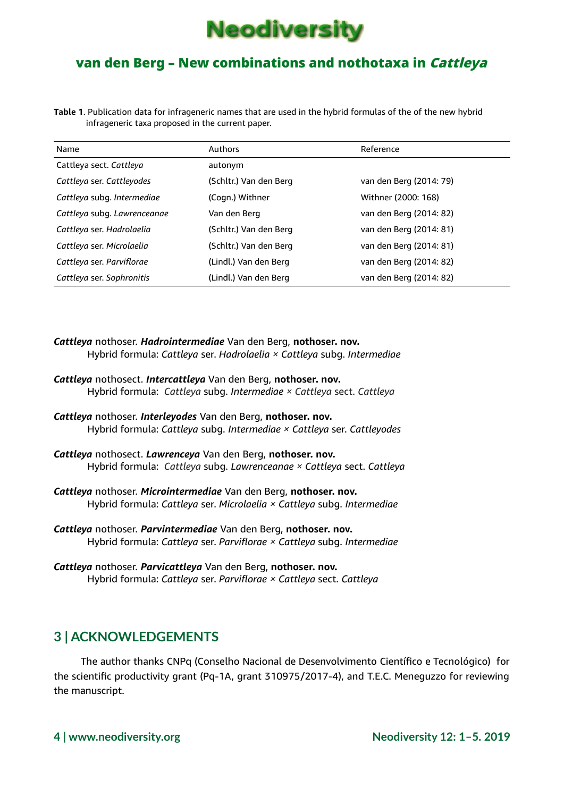

**Table 1**. Publication data for infrageneric names that are used in the hybrid formulas of the of the new hybrid infrageneric taxa proposed in the current paper.

| Name                        | Authors                | Reference               |
|-----------------------------|------------------------|-------------------------|
| Cattleya sect. Cattleya     | autonym                |                         |
| Cattleya ser. Cattleyodes   | (Schltr.) Van den Berg | van den Berg (2014: 79) |
| Cattleya subg. Intermediae  | (Cogn.) Withner        | Withner (2000: 168)     |
| Cattleya subg. Lawrenceanae | Van den Berg           | van den Berg (2014: 82) |
| Cattleya ser. Hadrolaelia   | (Schltr.) Van den Berg | van den Berg (2014: 81) |
| Cattleya ser. Microlaelia   | (Schltr.) Van den Berg | van den Berg (2014: 81) |
| Cattleya ser. Parviflorae   | (Lindl.) Van den Berg  | van den Berg (2014: 82) |
| Cattleya ser. Sophronitis   | (Lindl.) Van den Berg  | van den Berg (2014: 82) |

- *Cattleya* nothoser. *Hadrointermediae* Van den Berg, **nothoser. nov.** Hybrid formula: *Cattleya* ser. *Hadrolaelia × Cattleya* subg. *Intermediae*
- *Cattleya* nothosect. *Intercattleya* Van den Berg, **nothoser. nov.**  Hybrid formula: *Cattleya* subg. *Intermediae × Cattleya* sect. *Cattleya*
- *Cattleya* nothoser. *Interleyodes* Van den Berg, **nothoser. nov.** Hybrid formula: *Cattleya* subg. *Intermediae × Cattleya* ser. *Cattleyodes*
- *Cattleya* nothosect. *Lawrenceya* Van den Berg, **nothoser. nov.** Hybrid formula: *Cattleya* subg. *Lawrenceanae × Cattleya* sect. *Cattleya*
- *Cattleya* nothoser. *Microintermediae* Van den Berg, **nothoser. nov.** Hybrid formula: *Cattleya* ser. *Microlaelia × Cattleya* subg. *Intermediae*
- *Cattleya* nothoser. *Parvintermediae* Van den Berg, **nothoser. nov.** Hybrid formula: *Cattleya* ser. *Parviflorae × Cattleya* subg. *Intermediae*
- *Cattleya* nothoser. *Parvicattleya* Van den Berg, **nothoser. nov.** Hybrid formula: *Cattleya* ser. *Parviflorae × Cattleya* sect. *Cattleya*

## **3 | ACKNOWLEDGEMENTS**

The author thanks CNPq (Conselho Nacional de Desenvolvimento Científico e Tecnológico) for the scientific productivity grant (Pq-1A, grant 310975/2017-4), and T.E.C. Meneguzzo for reviewing the manuscript.